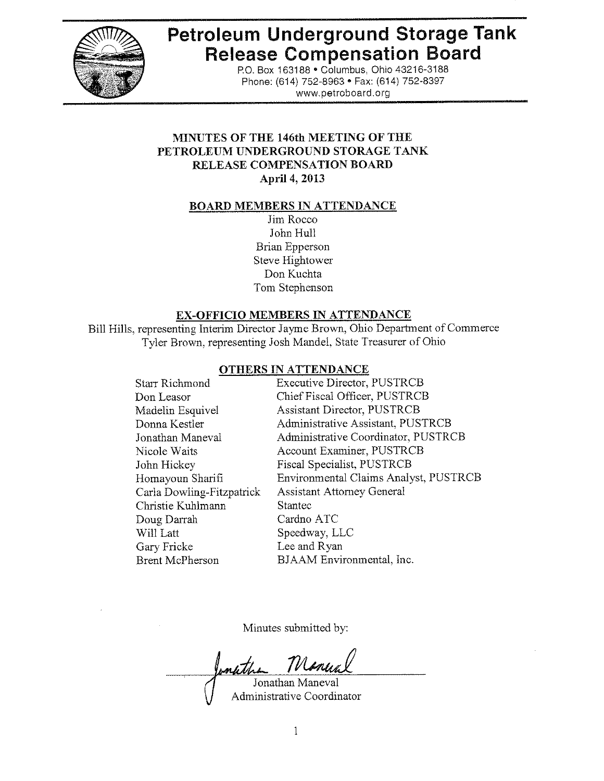

# **Petroleum Underground Storage Tank Release Compensation Board**

P.O. Box 163188 . Columbus, Ohio 43216-3188 Phone: (614) 752-8963 • Fax: (614) 752-8397 www.petroboard.org

## MINUTES OF THE 146th MEETING OF THE PETROLEUM UNDERGROUND STORAGE TANK RELEASE COMPENSATION BOARD April 4, 2013

### **BOARD MEMBERS IN ATTENDANCE**

Jim Rocco John Hull **Brian Epperson** Steve Hightower Don Kuchta Tom Stephenson

### EX-OFFICIO MEMBERS IN ATTENDANCE

Bill Hills, representing Interim Director Jayme Brown, Ohio Department of Commerce Tyler Brown, representing Josh Mandel, State Treasurer of Ohio

### OTHERS IN ATTENDANCE

| <b>Starr Richmond</b>     | <b>Executive Director, PUSTRCB</b>    |
|---------------------------|---------------------------------------|
| Don Leasor                | Chief Fiscal Officer, PUSTRCB         |
| Madelin Esquivel          | <b>Assistant Director, PUSTRCB</b>    |
| Donna Kestler             | Administrative Assistant, PUSTRCB     |
| Jonathan Maneval          | Administrative Coordinator, PUSTRCB   |
| Nicole Waits              | Account Examiner, PUSTRCB             |
| John Hickey               | Fiscal Specialist, PUSTRCB            |
| Homayoun Sharifi          | Environmental Claims Analyst, PUSTRCB |
| Carla Dowling-Fitzpatrick | <b>Assistant Attorney General</b>     |
| Christie Kuhlmann         | <b>Stantec</b>                        |
| Doug Darrah               | Cardno ATC                            |
| Will Latt                 | Speedway, LLC                         |
| Gary Fricke               | Lee and Ryan                          |
| <b>Brent McPherson</b>    | BJAAM Environmental, Inc.             |
|                           |                                       |

Minutes submitted by:

Jonathan Maneval

Administrative Coordinator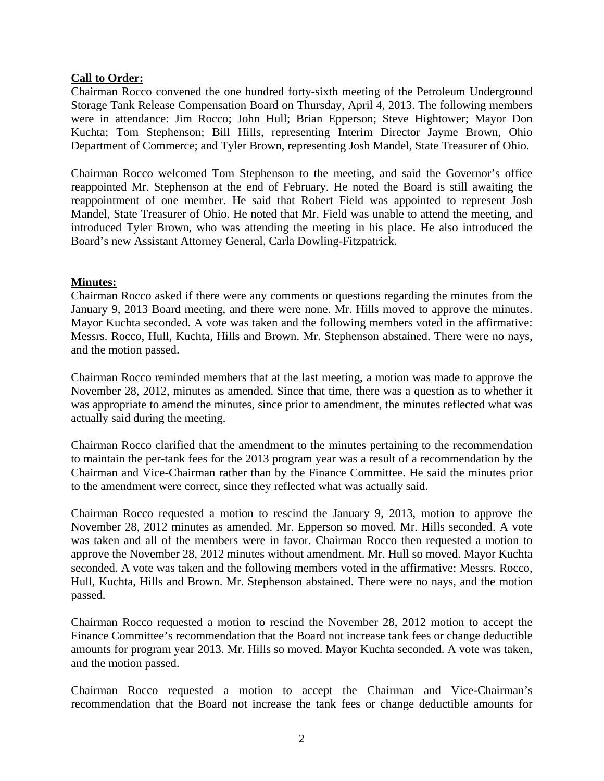## **Call to Order:**

Chairman Rocco convened the one hundred forty-sixth meeting of the Petroleum Underground Storage Tank Release Compensation Board on Thursday, April 4, 2013. The following members were in attendance: Jim Rocco; John Hull; Brian Epperson; Steve Hightower; Mayor Don Kuchta; Tom Stephenson; Bill Hills, representing Interim Director Jayme Brown, Ohio Department of Commerce; and Tyler Brown, representing Josh Mandel, State Treasurer of Ohio.

Chairman Rocco welcomed Tom Stephenson to the meeting, and said the Governor's office reappointed Mr. Stephenson at the end of February. He noted the Board is still awaiting the reappointment of one member. He said that Robert Field was appointed to represent Josh Mandel, State Treasurer of Ohio. He noted that Mr. Field was unable to attend the meeting, and introduced Tyler Brown, who was attending the meeting in his place. He also introduced the Board's new Assistant Attorney General, Carla Dowling-Fitzpatrick.

### **Minutes:**

Chairman Rocco asked if there were any comments or questions regarding the minutes from the January 9, 2013 Board meeting, and there were none. Mr. Hills moved to approve the minutes. Mayor Kuchta seconded. A vote was taken and the following members voted in the affirmative: Messrs. Rocco, Hull, Kuchta, Hills and Brown. Mr. Stephenson abstained. There were no nays, and the motion passed.

Chairman Rocco reminded members that at the last meeting, a motion was made to approve the November 28, 2012, minutes as amended. Since that time, there was a question as to whether it was appropriate to amend the minutes, since prior to amendment, the minutes reflected what was actually said during the meeting.

Chairman Rocco clarified that the amendment to the minutes pertaining to the recommendation to maintain the per-tank fees for the 2013 program year was a result of a recommendation by the Chairman and Vice-Chairman rather than by the Finance Committee. He said the minutes prior to the amendment were correct, since they reflected what was actually said.

Chairman Rocco requested a motion to rescind the January 9, 2013, motion to approve the November 28, 2012 minutes as amended. Mr. Epperson so moved. Mr. Hills seconded. A vote was taken and all of the members were in favor. Chairman Rocco then requested a motion to approve the November 28, 2012 minutes without amendment. Mr. Hull so moved. Mayor Kuchta seconded. A vote was taken and the following members voted in the affirmative: Messrs. Rocco, Hull, Kuchta, Hills and Brown. Mr. Stephenson abstained. There were no nays, and the motion passed.

Chairman Rocco requested a motion to rescind the November 28, 2012 motion to accept the Finance Committee's recommendation that the Board not increase tank fees or change deductible amounts for program year 2013. Mr. Hills so moved. Mayor Kuchta seconded. A vote was taken, and the motion passed.

Chairman Rocco requested a motion to accept the Chairman and Vice-Chairman's recommendation that the Board not increase the tank fees or change deductible amounts for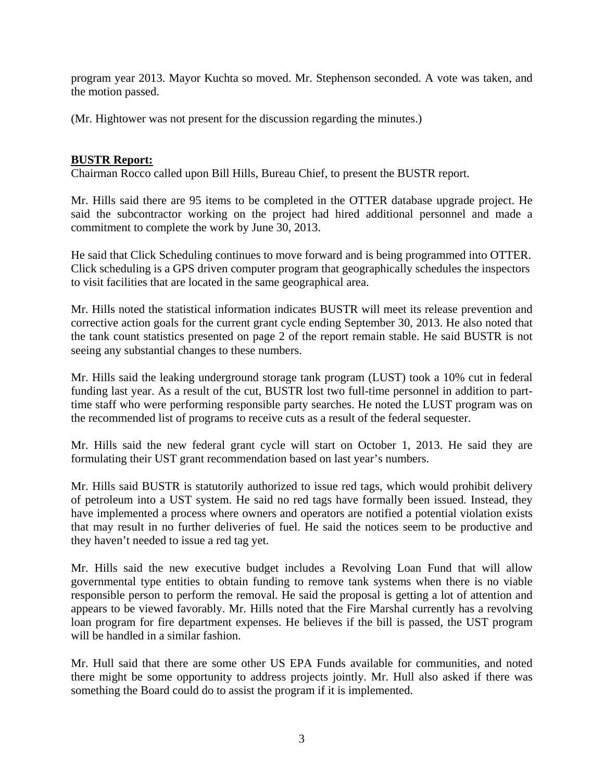program year 2013. Mayor Kuchta so moved. Mr. Stephenson seconded. A vote was taken, and the motion passed.

(Mr. Hightower was not present for the discussion regarding the minutes.)

## **BUSTR Report:**

Chairman Rocco called upon Bill Hills, Bureau Chief, to present the BUSTR report.

Mr. Hills said there are 95 items to be completed in the OTTER database upgrade project. He said the subcontractor working on the project had hired additional personnel and made a commitment to complete the work by June 30, 2013.

He said that Click Scheduling continues to move forward and is being programmed into OTTER. Click scheduling is a GPS driven computer program that geographically schedules the inspectors to visit facilities that are located in the same geographical area.

Mr. Hills noted the statistical information indicates BUSTR will meet its release prevention and corrective action goals for the current grant cycle ending September 30, 2013. He also noted that the tank count statistics presented on page 2 of the report remain stable. He said BUSTR is not seeing any substantial changes to these numbers.

Mr. Hills said the leaking underground storage tank program (LUST) took a 10% cut in federal funding last year. As a result of the cut, BUSTR lost two full-time personnel in addition to parttime staff who were performing responsible party searches. He noted the LUST program was on the recommended list of programs to receive cuts as a result of the federal sequester.

Mr. Hills said the new federal grant cycle will start on October 1, 2013. He said they are formulating their UST grant recommendation based on last year's numbers.

Mr. Hills said BUSTR is statutorily authorized to issue red tags, which would prohibit delivery of petroleum into a UST system. He said no red tags have formally been issued. Instead, they have implemented a process where owners and operators are notified a potential violation exists that may result in no further deliveries of fuel. He said the notices seem to be productive and they haven't needed to issue a red tag yet.

Mr. Hills said the new executive budget includes a Revolving Loan Fund that will allow governmental type entities to obtain funding to remove tank systems when there is no viable responsible person to perform the removal. He said the proposal is getting a lot of attention and appears to be viewed favorably. Mr. Hills noted that the Fire Marshal currently has a revolving loan program for fire department expenses. He believes if the bill is passed, the UST program will be handled in a similar fashion.

Mr. Hull said that there are some other US EPA Funds available for communities, and noted there might be some opportunity to address projects jointly. Mr. Hull also asked if there was something the Board could do to assist the program if it is implemented.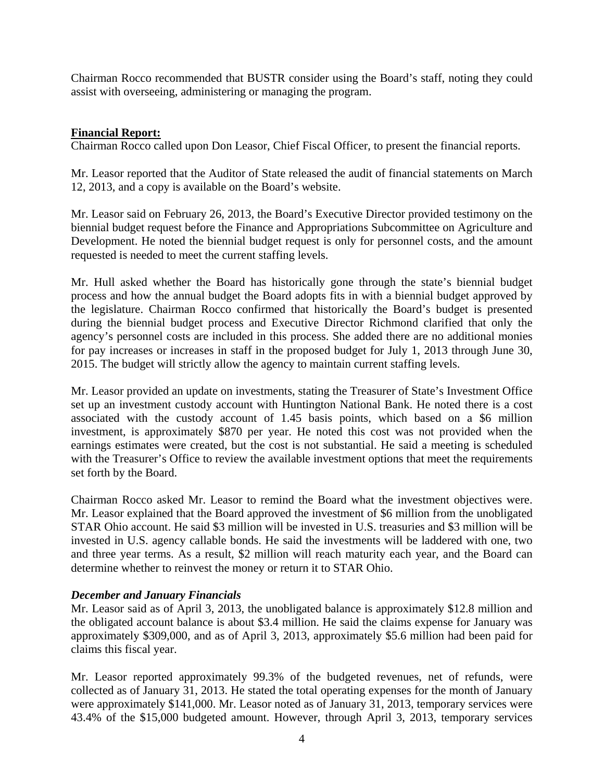Chairman Rocco recommended that BUSTR consider using the Board's staff, noting they could assist with overseeing, administering or managing the program.

## **Financial Report:**

Chairman Rocco called upon Don Leasor, Chief Fiscal Officer, to present the financial reports.

Mr. Leasor reported that the Auditor of State released the audit of financial statements on March 12, 2013, and a copy is available on the Board's website.

Mr. Leasor said on February 26, 2013, the Board's Executive Director provided testimony on the biennial budget request before the Finance and Appropriations Subcommittee on Agriculture and Development. He noted the biennial budget request is only for personnel costs, and the amount requested is needed to meet the current staffing levels.

Mr. Hull asked whether the Board has historically gone through the state's biennial budget process and how the annual budget the Board adopts fits in with a biennial budget approved by the legislature. Chairman Rocco confirmed that historically the Board's budget is presented during the biennial budget process and Executive Director Richmond clarified that only the agency's personnel costs are included in this process. She added there are no additional monies for pay increases or increases in staff in the proposed budget for July 1, 2013 through June 30, 2015. The budget will strictly allow the agency to maintain current staffing levels.

Mr. Leasor provided an update on investments, stating the Treasurer of State's Investment Office set up an investment custody account with Huntington National Bank. He noted there is a cost associated with the custody account of 1.45 basis points, which based on a \$6 million investment, is approximately \$870 per year. He noted this cost was not provided when the earnings estimates were created, but the cost is not substantial. He said a meeting is scheduled with the Treasurer's Office to review the available investment options that meet the requirements set forth by the Board.

Chairman Rocco asked Mr. Leasor to remind the Board what the investment objectives were. Mr. Leasor explained that the Board approved the investment of \$6 million from the unobligated STAR Ohio account. He said \$3 million will be invested in U.S. treasuries and \$3 million will be invested in U.S. agency callable bonds. He said the investments will be laddered with one, two and three year terms. As a result, \$2 million will reach maturity each year, and the Board can determine whether to reinvest the money or return it to STAR Ohio.

### *December and January Financials*

Mr. Leasor said as of April 3, 2013, the unobligated balance is approximately \$12.8 million and the obligated account balance is about \$3.4 million. He said the claims expense for January was approximately \$309,000, and as of April 3, 2013, approximately \$5.6 million had been paid for claims this fiscal year.

Mr. Leasor reported approximately 99.3% of the budgeted revenues, net of refunds, were collected as of January 31, 2013. He stated the total operating expenses for the month of January were approximately \$141,000. Mr. Leasor noted as of January 31, 2013, temporary services were 43.4% of the \$15,000 budgeted amount. However, through April 3, 2013, temporary services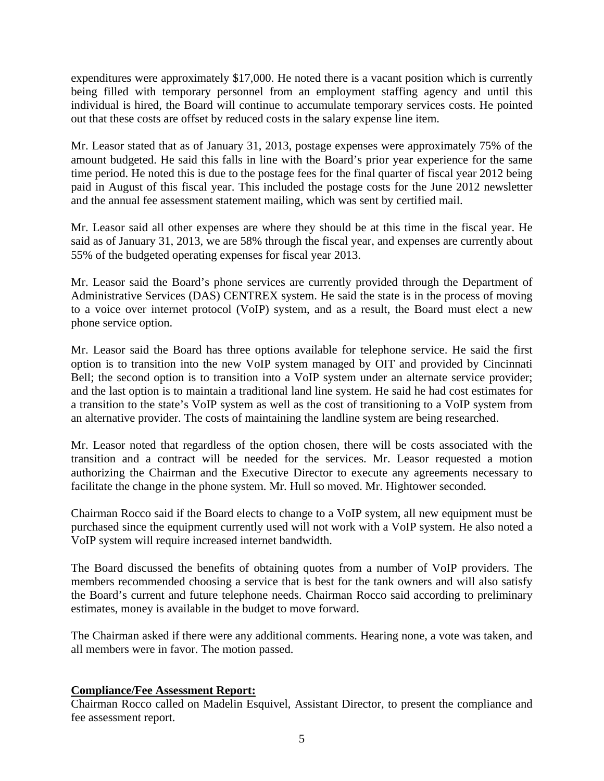expenditures were approximately \$17,000. He noted there is a vacant position which is currently being filled with temporary personnel from an employment staffing agency and until this individual is hired, the Board will continue to accumulate temporary services costs. He pointed out that these costs are offset by reduced costs in the salary expense line item.

Mr. Leasor stated that as of January 31, 2013, postage expenses were approximately 75% of the amount budgeted. He said this falls in line with the Board's prior year experience for the same time period. He noted this is due to the postage fees for the final quarter of fiscal year 2012 being paid in August of this fiscal year. This included the postage costs for the June 2012 newsletter and the annual fee assessment statement mailing, which was sent by certified mail.

Mr. Leasor said all other expenses are where they should be at this time in the fiscal year. He said as of January 31, 2013, we are 58% through the fiscal year, and expenses are currently about 55% of the budgeted operating expenses for fiscal year 2013.

Mr. Leasor said the Board's phone services are currently provided through the Department of Administrative Services (DAS) CENTREX system. He said the state is in the process of moving to a voice over internet protocol (VoIP) system, and as a result, the Board must elect a new phone service option.

Mr. Leasor said the Board has three options available for telephone service. He said the first option is to transition into the new VoIP system managed by OIT and provided by Cincinnati Bell; the second option is to transition into a VoIP system under an alternate service provider; and the last option is to maintain a traditional land line system. He said he had cost estimates for a transition to the state's VoIP system as well as the cost of transitioning to a VoIP system from an alternative provider. The costs of maintaining the landline system are being researched.

Mr. Leasor noted that regardless of the option chosen, there will be costs associated with the transition and a contract will be needed for the services. Mr. Leasor requested a motion authorizing the Chairman and the Executive Director to execute any agreements necessary to facilitate the change in the phone system. Mr. Hull so moved. Mr. Hightower seconded.

Chairman Rocco said if the Board elects to change to a VoIP system, all new equipment must be purchased since the equipment currently used will not work with a VoIP system. He also noted a VoIP system will require increased internet bandwidth.

The Board discussed the benefits of obtaining quotes from a number of VoIP providers. The members recommended choosing a service that is best for the tank owners and will also satisfy the Board's current and future telephone needs. Chairman Rocco said according to preliminary estimates, money is available in the budget to move forward.

The Chairman asked if there were any additional comments. Hearing none, a vote was taken, and all members were in favor. The motion passed.

## **Compliance/Fee Assessment Report:**

Chairman Rocco called on Madelin Esquivel, Assistant Director, to present the compliance and fee assessment report.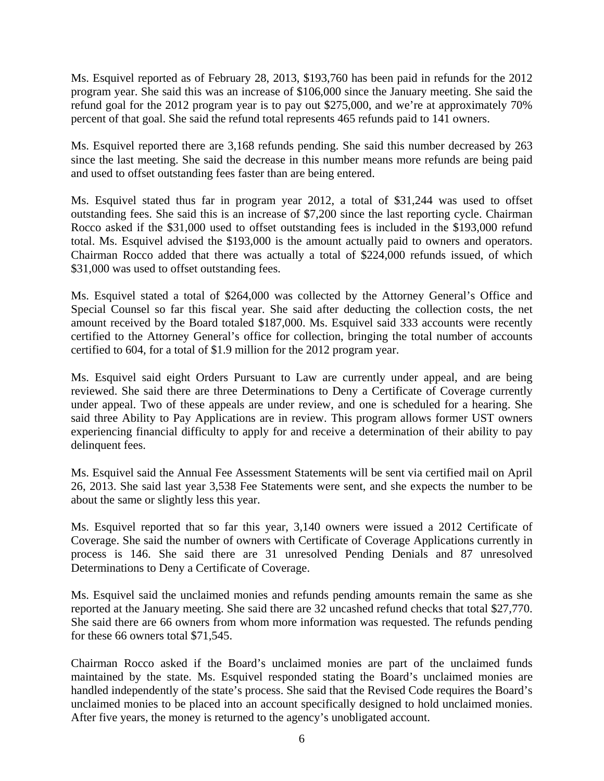Ms. Esquivel reported as of February 28, 2013, \$193,760 has been paid in refunds for the 2012 program year. She said this was an increase of \$106,000 since the January meeting. She said the refund goal for the 2012 program year is to pay out \$275,000, and we're at approximately 70% percent of that goal. She said the refund total represents 465 refunds paid to 141 owners.

Ms. Esquivel reported there are 3,168 refunds pending. She said this number decreased by 263 since the last meeting. She said the decrease in this number means more refunds are being paid and used to offset outstanding fees faster than are being entered.

Ms. Esquivel stated thus far in program year 2012, a total of \$31,244 was used to offset outstanding fees. She said this is an increase of \$7,200 since the last reporting cycle. Chairman Rocco asked if the \$31,000 used to offset outstanding fees is included in the \$193,000 refund total. Ms. Esquivel advised the \$193,000 is the amount actually paid to owners and operators. Chairman Rocco added that there was actually a total of \$224,000 refunds issued, of which \$31,000 was used to offset outstanding fees.

Ms. Esquivel stated a total of \$264,000 was collected by the Attorney General's Office and Special Counsel so far this fiscal year. She said after deducting the collection costs, the net amount received by the Board totaled \$187,000. Ms. Esquivel said 333 accounts were recently certified to the Attorney General's office for collection, bringing the total number of accounts certified to 604, for a total of \$1.9 million for the 2012 program year.

Ms. Esquivel said eight Orders Pursuant to Law are currently under appeal, and are being reviewed. She said there are three Determinations to Deny a Certificate of Coverage currently under appeal. Two of these appeals are under review, and one is scheduled for a hearing. She said three Ability to Pay Applications are in review. This program allows former UST owners experiencing financial difficulty to apply for and receive a determination of their ability to pay delinquent fees.

Ms. Esquivel said the Annual Fee Assessment Statements will be sent via certified mail on April 26, 2013. She said last year 3,538 Fee Statements were sent, and she expects the number to be about the same or slightly less this year.

Ms. Esquivel reported that so far this year, 3,140 owners were issued a 2012 Certificate of Coverage. She said the number of owners with Certificate of Coverage Applications currently in process is 146. She said there are 31 unresolved Pending Denials and 87 unresolved Determinations to Deny a Certificate of Coverage.

Ms. Esquivel said the unclaimed monies and refunds pending amounts remain the same as she reported at the January meeting. She said there are 32 uncashed refund checks that total \$27,770. She said there are 66 owners from whom more information was requested. The refunds pending for these 66 owners total \$71,545.

Chairman Rocco asked if the Board's unclaimed monies are part of the unclaimed funds maintained by the state. Ms. Esquivel responded stating the Board's unclaimed monies are handled independently of the state's process. She said that the Revised Code requires the Board's unclaimed monies to be placed into an account specifically designed to hold unclaimed monies. After five years, the money is returned to the agency's unobligated account.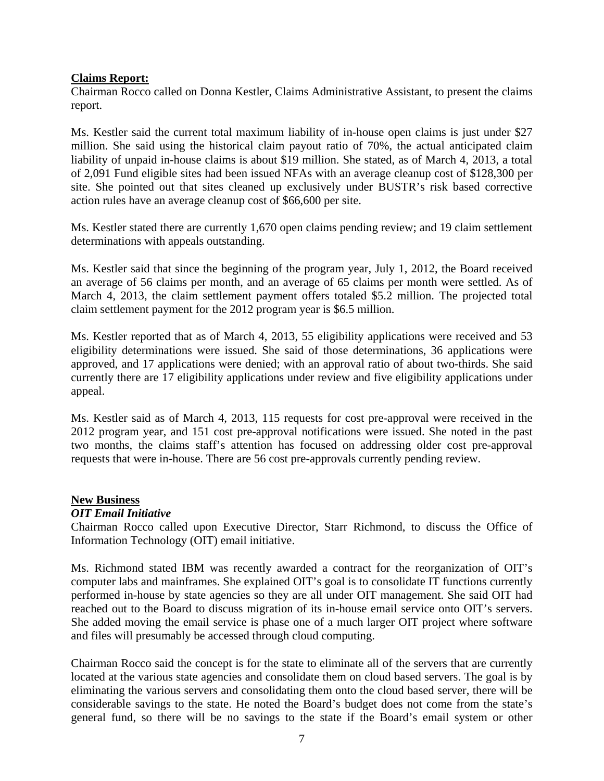#### **Claims Report:**

Chairman Rocco called on Donna Kestler, Claims Administrative Assistant, to present the claims report.

Ms. Kestler said the current total maximum liability of in-house open claims is just under \$27 million. She said using the historical claim payout ratio of 70%, the actual anticipated claim liability of unpaid in-house claims is about \$19 million. She stated, as of March 4, 2013, a total of 2,091 Fund eligible sites had been issued NFAs with an average cleanup cost of \$128,300 per site. She pointed out that sites cleaned up exclusively under BUSTR's risk based corrective action rules have an average cleanup cost of \$66,600 per site.

Ms. Kestler stated there are currently 1,670 open claims pending review; and 19 claim settlement determinations with appeals outstanding.

Ms. Kestler said that since the beginning of the program year, July 1, 2012, the Board received an average of 56 claims per month, and an average of 65 claims per month were settled. As of March 4, 2013, the claim settlement payment offers totaled \$5.2 million. The projected total claim settlement payment for the 2012 program year is \$6.5 million.

Ms. Kestler reported that as of March 4, 2013, 55 eligibility applications were received and 53 eligibility determinations were issued. She said of those determinations, 36 applications were approved, and 17 applications were denied; with an approval ratio of about two-thirds. She said currently there are 17 eligibility applications under review and five eligibility applications under appeal.

Ms. Kestler said as of March 4, 2013, 115 requests for cost pre-approval were received in the 2012 program year, and 151 cost pre-approval notifications were issued. She noted in the past two months, the claims staff's attention has focused on addressing older cost pre-approval requests that were in-house. There are 56 cost pre-approvals currently pending review.

#### **New Business**

### *OIT Email Initiative*

Chairman Rocco called upon Executive Director, Starr Richmond, to discuss the Office of Information Technology (OIT) email initiative.

Ms. Richmond stated IBM was recently awarded a contract for the reorganization of OIT's computer labs and mainframes. She explained OIT's goal is to consolidate IT functions currently performed in-house by state agencies so they are all under OIT management. She said OIT had reached out to the Board to discuss migration of its in-house email service onto OIT's servers. She added moving the email service is phase one of a much larger OIT project where software and files will presumably be accessed through cloud computing.

Chairman Rocco said the concept is for the state to eliminate all of the servers that are currently located at the various state agencies and consolidate them on cloud based servers. The goal is by eliminating the various servers and consolidating them onto the cloud based server, there will be considerable savings to the state. He noted the Board's budget does not come from the state's general fund, so there will be no savings to the state if the Board's email system or other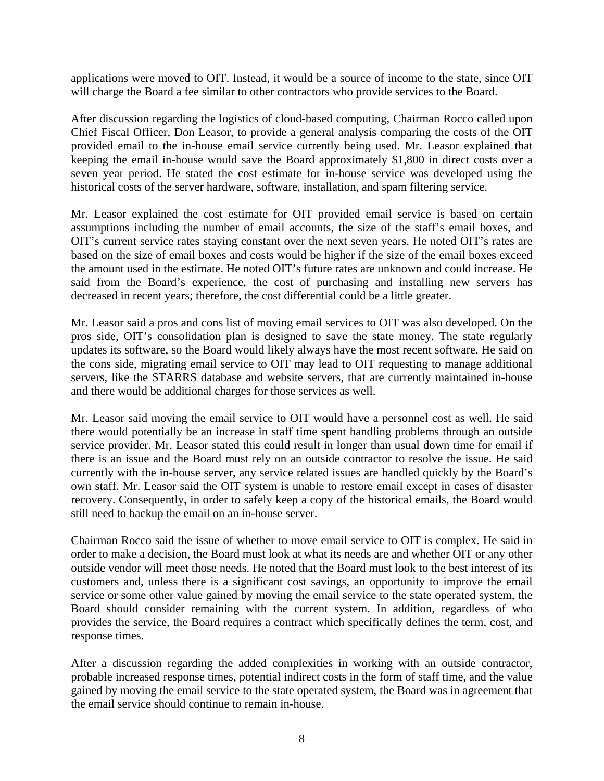applications were moved to OIT. Instead, it would be a source of income to the state, since OIT will charge the Board a fee similar to other contractors who provide services to the Board.

After discussion regarding the logistics of cloud-based computing, Chairman Rocco called upon Chief Fiscal Officer, Don Leasor, to provide a general analysis comparing the costs of the OIT provided email to the in-house email service currently being used. Mr. Leasor explained that keeping the email in-house would save the Board approximately \$1,800 in direct costs over a seven year period. He stated the cost estimate for in-house service was developed using the historical costs of the server hardware, software, installation, and spam filtering service.

Mr. Leasor explained the cost estimate for OIT provided email service is based on certain assumptions including the number of email accounts, the size of the staff's email boxes, and OIT's current service rates staying constant over the next seven years. He noted OIT's rates are based on the size of email boxes and costs would be higher if the size of the email boxes exceed the amount used in the estimate. He noted OIT's future rates are unknown and could increase. He said from the Board's experience, the cost of purchasing and installing new servers has decreased in recent years; therefore, the cost differential could be a little greater.

Mr. Leasor said a pros and cons list of moving email services to OIT was also developed. On the pros side, OIT's consolidation plan is designed to save the state money. The state regularly updates its software, so the Board would likely always have the most recent software. He said on the cons side, migrating email service to OIT may lead to OIT requesting to manage additional servers, like the STARRS database and website servers, that are currently maintained in-house and there would be additional charges for those services as well.

Mr. Leasor said moving the email service to OIT would have a personnel cost as well. He said there would potentially be an increase in staff time spent handling problems through an outside service provider. Mr. Leasor stated this could result in longer than usual down time for email if there is an issue and the Board must rely on an outside contractor to resolve the issue. He said currently with the in-house server, any service related issues are handled quickly by the Board's own staff. Mr. Leasor said the OIT system is unable to restore email except in cases of disaster recovery. Consequently, in order to safely keep a copy of the historical emails, the Board would still need to backup the email on an in-house server.

Chairman Rocco said the issue of whether to move email service to OIT is complex. He said in order to make a decision, the Board must look at what its needs are and whether OIT or any other outside vendor will meet those needs. He noted that the Board must look to the best interest of its customers and, unless there is a significant cost savings, an opportunity to improve the email service or some other value gained by moving the email service to the state operated system, the Board should consider remaining with the current system. In addition, regardless of who provides the service, the Board requires a contract which specifically defines the term, cost, and response times.

After a discussion regarding the added complexities in working with an outside contractor, probable increased response times, potential indirect costs in the form of staff time, and the value gained by moving the email service to the state operated system, the Board was in agreement that the email service should continue to remain in-house.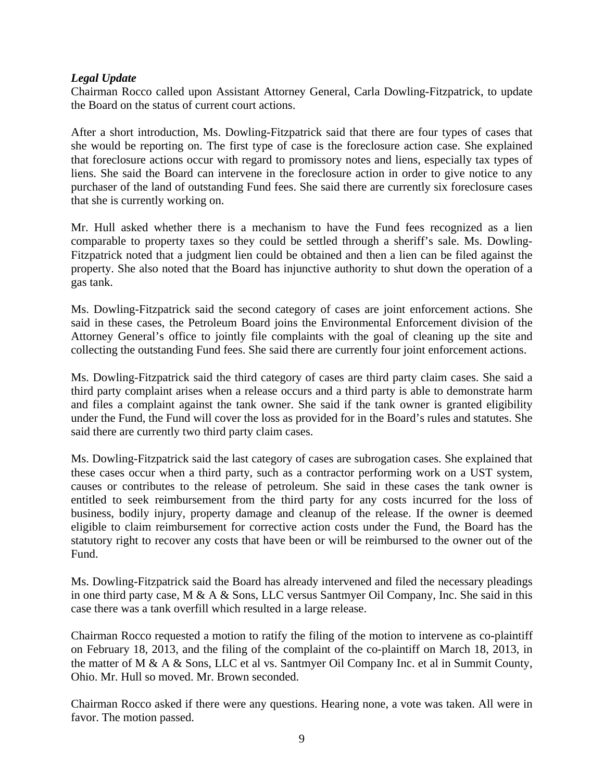## *Legal Update*

Chairman Rocco called upon Assistant Attorney General, Carla Dowling-Fitzpatrick, to update the Board on the status of current court actions.

After a short introduction, Ms. Dowling-Fitzpatrick said that there are four types of cases that she would be reporting on. The first type of case is the foreclosure action case. She explained that foreclosure actions occur with regard to promissory notes and liens, especially tax types of liens. She said the Board can intervene in the foreclosure action in order to give notice to any purchaser of the land of outstanding Fund fees. She said there are currently six foreclosure cases that she is currently working on.

Mr. Hull asked whether there is a mechanism to have the Fund fees recognized as a lien comparable to property taxes so they could be settled through a sheriff's sale. Ms. Dowling-Fitzpatrick noted that a judgment lien could be obtained and then a lien can be filed against the property. She also noted that the Board has injunctive authority to shut down the operation of a gas tank.

Ms. Dowling-Fitzpatrick said the second category of cases are joint enforcement actions. She said in these cases, the Petroleum Board joins the Environmental Enforcement division of the Attorney General's office to jointly file complaints with the goal of cleaning up the site and collecting the outstanding Fund fees. She said there are currently four joint enforcement actions.

Ms. Dowling-Fitzpatrick said the third category of cases are third party claim cases. She said a third party complaint arises when a release occurs and a third party is able to demonstrate harm and files a complaint against the tank owner. She said if the tank owner is granted eligibility under the Fund, the Fund will cover the loss as provided for in the Board's rules and statutes. She said there are currently two third party claim cases.

Ms. Dowling-Fitzpatrick said the last category of cases are subrogation cases. She explained that these cases occur when a third party, such as a contractor performing work on a UST system, causes or contributes to the release of petroleum. She said in these cases the tank owner is entitled to seek reimbursement from the third party for any costs incurred for the loss of business, bodily injury, property damage and cleanup of the release. If the owner is deemed eligible to claim reimbursement for corrective action costs under the Fund, the Board has the statutory right to recover any costs that have been or will be reimbursed to the owner out of the Fund.

Ms. Dowling-Fitzpatrick said the Board has already intervened and filed the necessary pleadings in one third party case, M & A & Sons, LLC versus Santmyer Oil Company, Inc. She said in this case there was a tank overfill which resulted in a large release.

Chairman Rocco requested a motion to ratify the filing of the motion to intervene as co-plaintiff on February 18, 2013, and the filing of the complaint of the co-plaintiff on March 18, 2013, in the matter of M & A & Sons, LLC et al vs. Santmyer Oil Company Inc. et al in Summit County, Ohio. Mr. Hull so moved. Mr. Brown seconded.

Chairman Rocco asked if there were any questions. Hearing none, a vote was taken. All were in favor. The motion passed.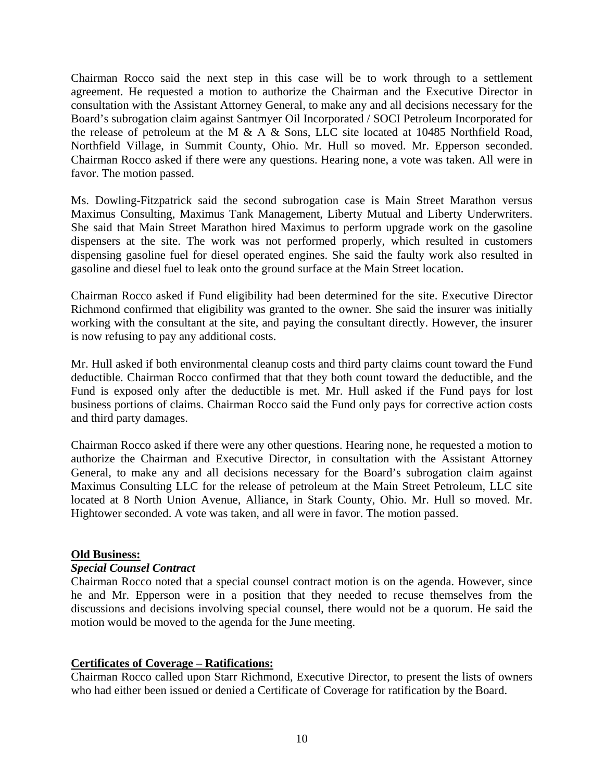Chairman Rocco said the next step in this case will be to work through to a settlement agreement. He requested a motion to authorize the Chairman and the Executive Director in consultation with the Assistant Attorney General, to make any and all decisions necessary for the Board's subrogation claim against Santmyer Oil Incorporated / SOCI Petroleum Incorporated for the release of petroleum at the M & A & Sons, LLC site located at 10485 Northfield Road, Northfield Village, in Summit County, Ohio. Mr. Hull so moved. Mr. Epperson seconded. Chairman Rocco asked if there were any questions. Hearing none, a vote was taken. All were in favor. The motion passed.

Ms. Dowling-Fitzpatrick said the second subrogation case is Main Street Marathon versus Maximus Consulting, Maximus Tank Management, Liberty Mutual and Liberty Underwriters. She said that Main Street Marathon hired Maximus to perform upgrade work on the gasoline dispensers at the site. The work was not performed properly, which resulted in customers dispensing gasoline fuel for diesel operated engines. She said the faulty work also resulted in gasoline and diesel fuel to leak onto the ground surface at the Main Street location.

Chairman Rocco asked if Fund eligibility had been determined for the site. Executive Director Richmond confirmed that eligibility was granted to the owner. She said the insurer was initially working with the consultant at the site, and paying the consultant directly. However, the insurer is now refusing to pay any additional costs.

Mr. Hull asked if both environmental cleanup costs and third party claims count toward the Fund deductible. Chairman Rocco confirmed that that they both count toward the deductible, and the Fund is exposed only after the deductible is met. Mr. Hull asked if the Fund pays for lost business portions of claims. Chairman Rocco said the Fund only pays for corrective action costs and third party damages.

Chairman Rocco asked if there were any other questions. Hearing none, he requested a motion to authorize the Chairman and Executive Director, in consultation with the Assistant Attorney General, to make any and all decisions necessary for the Board's subrogation claim against Maximus Consulting LLC for the release of petroleum at the Main Street Petroleum, LLC site located at 8 North Union Avenue, Alliance, in Stark County, Ohio. Mr. Hull so moved. Mr. Hightower seconded. A vote was taken, and all were in favor. The motion passed.

### **Old Business:**

### *Special Counsel Contract*

Chairman Rocco noted that a special counsel contract motion is on the agenda. However, since he and Mr. Epperson were in a position that they needed to recuse themselves from the discussions and decisions involving special counsel, there would not be a quorum. He said the motion would be moved to the agenda for the June meeting.

## **Certificates of Coverage – Ratifications:**

Chairman Rocco called upon Starr Richmond, Executive Director, to present the lists of owners who had either been issued or denied a Certificate of Coverage for ratification by the Board.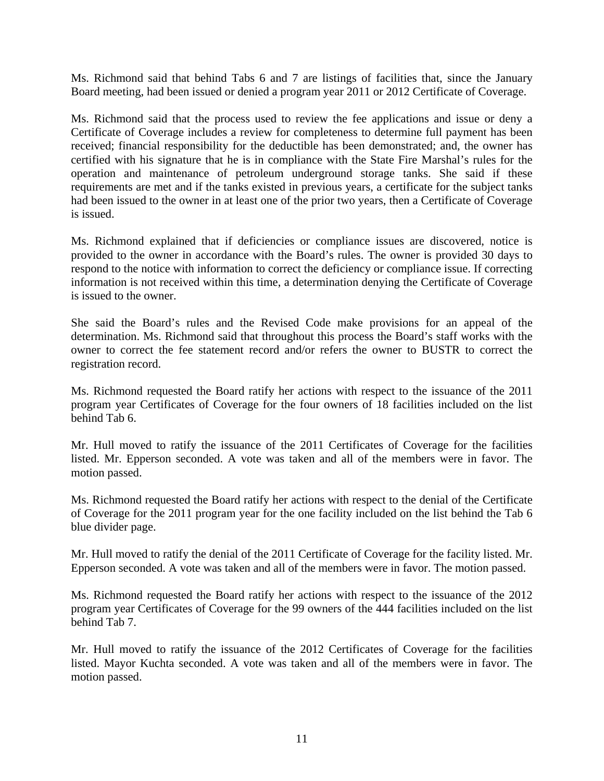Ms. Richmond said that behind Tabs 6 and 7 are listings of facilities that, since the January Board meeting, had been issued or denied a program year 2011 or 2012 Certificate of Coverage.

Ms. Richmond said that the process used to review the fee applications and issue or deny a Certificate of Coverage includes a review for completeness to determine full payment has been received; financial responsibility for the deductible has been demonstrated; and, the owner has certified with his signature that he is in compliance with the State Fire Marshal's rules for the operation and maintenance of petroleum underground storage tanks. She said if these requirements are met and if the tanks existed in previous years, a certificate for the subject tanks had been issued to the owner in at least one of the prior two years, then a Certificate of Coverage is issued.

Ms. Richmond explained that if deficiencies or compliance issues are discovered, notice is provided to the owner in accordance with the Board's rules. The owner is provided 30 days to respond to the notice with information to correct the deficiency or compliance issue. If correcting information is not received within this time, a determination denying the Certificate of Coverage is issued to the owner.

She said the Board's rules and the Revised Code make provisions for an appeal of the determination. Ms. Richmond said that throughout this process the Board's staff works with the owner to correct the fee statement record and/or refers the owner to BUSTR to correct the registration record.

Ms. Richmond requested the Board ratify her actions with respect to the issuance of the 2011 program year Certificates of Coverage for the four owners of 18 facilities included on the list behind Tab 6.

Mr. Hull moved to ratify the issuance of the 2011 Certificates of Coverage for the facilities listed. Mr. Epperson seconded. A vote was taken and all of the members were in favor. The motion passed.

Ms. Richmond requested the Board ratify her actions with respect to the denial of the Certificate of Coverage for the 2011 program year for the one facility included on the list behind the Tab 6 blue divider page.

Mr. Hull moved to ratify the denial of the 2011 Certificate of Coverage for the facility listed. Mr. Epperson seconded. A vote was taken and all of the members were in favor. The motion passed.

Ms. Richmond requested the Board ratify her actions with respect to the issuance of the 2012 program year Certificates of Coverage for the 99 owners of the 444 facilities included on the list behind Tab 7.

Mr. Hull moved to ratify the issuance of the 2012 Certificates of Coverage for the facilities listed. Mayor Kuchta seconded. A vote was taken and all of the members were in favor. The motion passed.